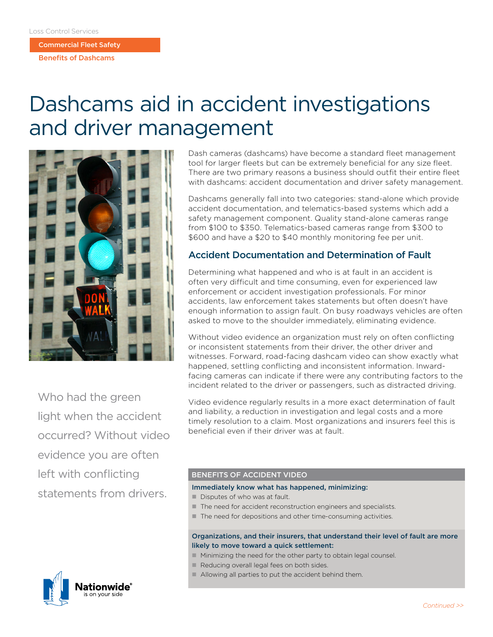Commercial Fleet Safety

Benefits of Dashcams

# Dashcams aid in accident investigations and driver management



Who had the green light when the accident occurred? Without video evidence you are often left with conflicting statements from drivers.



Dash cameras (dashcams) have become a standard fleet management tool for larger fleets but can be extremely beneficial for any size fleet. There are two primary reasons a business should outfit their entire fleet with dashcams: accident documentation and driver safety management.

Dashcams generally fall into two categories: stand-alone which provide accident documentation, and telematics-based systems which add a safety management component. Quality stand-alone cameras range from \$100 to \$350. Telematics-based cameras range from \$300 to \$600 and have a \$20 to \$40 monthly monitoring fee per unit.

## Accident Documentation and Determination of Fault

Determining what happened and who is at fault in an accident is often very difficult and time consuming, even for experienced law enforcement or accident investigation professionals. For minor accidents, law enforcement takes statements but often doesn't have enough information to assign fault. On busy roadways vehicles are often asked to move to the shoulder immediately, eliminating evidence.

Without video evidence an organization must rely on often conflicting or inconsistent statements from their driver, the other driver and witnesses. Forward, road-facing dashcam video can show exactly what happened, settling conflicting and inconsistent information. Inwardfacing cameras can indicate if there were any contributing factors to the incident related to the driver or passengers, such as distracted driving.

Video evidence regularly results in a more exact determination of fault and liability, a reduction in investigation and legal costs and a more timely resolution to a claim. Most organizations and insurers feel this is beneficial even if their driver was at fault.

### BENEFITS OF ACCIDENT VIDEO

#### Immediately know what has happened, minimizing:

- $\blacksquare$  Disputes of who was at fault.
- $\blacksquare$  The need for accident reconstruction engineers and specialists.
- $\blacksquare$  The need for depositions and other time-consuming activities.

#### Organizations, and their insurers, that understand their level of fault are more likely to move toward a quick settlement:

- Minimizing the need for the other party to obtain legal counsel.
- Reducing overall legal fees on both sides.
- $\blacksquare$  Allowing all parties to put the accident behind them.